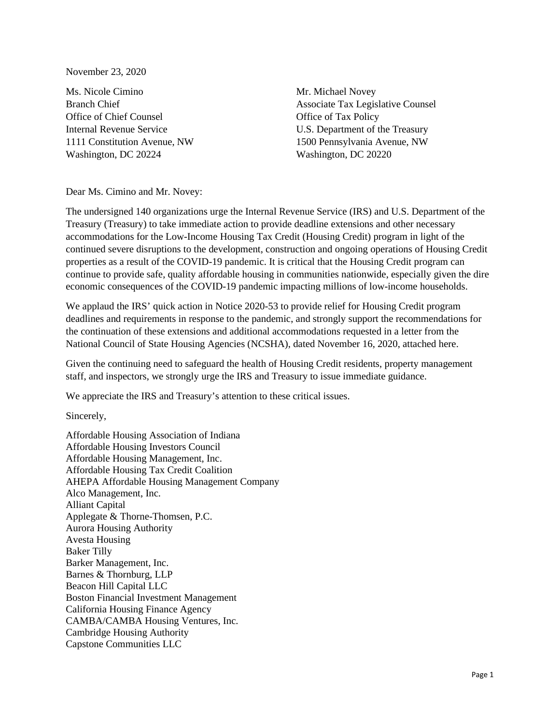November 23, 2020

Ms. Nicole Cimino Branch Chief Office of Chief Counsel Internal Revenue Service 1111 Constitution Avenue, NW Washington, DC 20224

Mr. Michael Novey Associate Tax Legislative Counsel Office of Tax Policy U.S. Department of the Treasury 1500 Pennsylvania Avenue, NW Washington, DC 20220

Dear Ms. Cimino and Mr. Novey:

The undersigned 140 organizations urge the Internal Revenue Service (IRS) and U.S. Department of the Treasury (Treasury) to take immediate action to provide deadline extensions and other necessary accommodations for the Low-Income Housing Tax Credit (Housing Credit) program in light of the continued severe disruptions to the development, construction and ongoing operations of Housing Credit properties as a result of the COVID-19 pandemic. It is critical that the Housing Credit program can continue to provide safe, quality affordable housing in communities nationwide, especially given the dire economic consequences of the COVID-19 pandemic impacting millions of low-income households.

We applaud the IRS' quick action in Notice 2020-53 to provide relief for Housing Credit program deadlines and requirements in response to the pandemic, and strongly support the recommendations for the continuation of these extensions and additional accommodations requested in a letter from the National Council of State Housing Agencies (NCSHA), dated November 16, 2020, attached here.

Given the continuing need to safeguard the health of Housing Credit residents, property management staff, and inspectors, we strongly urge the IRS and Treasury to issue immediate guidance.

We appreciate the IRS and Treasury's attention to these critical issues.

Sincerely,

Affordable Housing Association of Indiana Affordable Housing Investors Council Affordable Housing Management, Inc. Affordable Housing Tax Credit Coalition AHEPA Affordable Housing Management Company Alco Management, Inc. Alliant Capital Applegate & Thorne-Thomsen, P.C. Aurora Housing Authority Avesta Housing Baker Tilly Barker Management, Inc. Barnes & Thornburg, LLP Beacon Hill Capital LLC Boston Financial Investment Management California Housing Finance Agency CAMBA/CAMBA Housing Ventures, Inc. Cambridge Housing Authority Capstone Communities LLC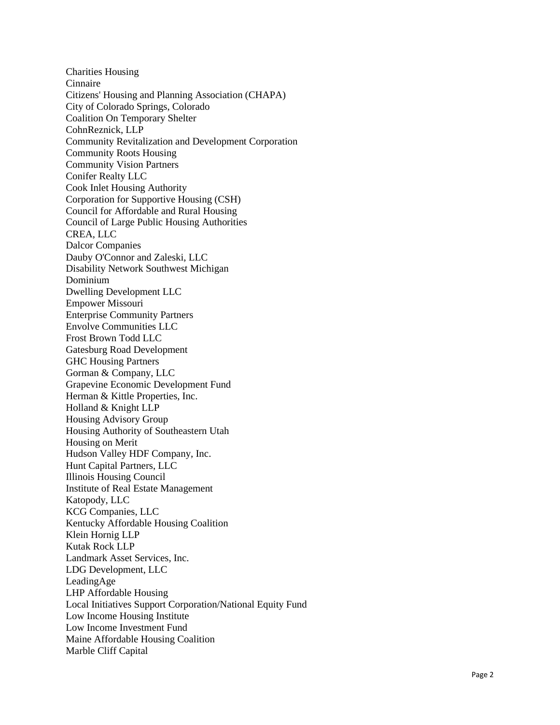Charities Housing Cinnaire Citizens' Housing and Planning Association (CHAPA) City of Colorado Springs, Colorado Coalition On Temporary Shelter CohnReznick, LLP Community Revitalization and Development Corporation Community Roots Housing Community Vision Partners Conifer Realty LLC Cook Inlet Housing Authority Corporation for Supportive Housing (CSH) Council for Affordable and Rural Housing Council of Large Public Housing Authorities CREA, LLC Dalcor Companies Dauby O'Connor and Zaleski, LLC Disability Network Southwest Michigan Dominium Dwelling Development LLC Empower Missouri Enterprise Community Partners Envolve Communities LLC Frost Brown Todd LLC Gatesburg Road Development GHC Housing Partners Gorman & Company, LLC Grapevine Economic Development Fund Herman & Kittle Properties, Inc. Holland & Knight LLP Housing Advisory Group Housing Authority of Southeastern Utah Housing on Merit Hudson Valley HDF Company, Inc. Hunt Capital Partners, LLC Illinois Housing Council Institute of Real Estate Management Katopody, LLC KCG Companies, LLC Kentucky Affordable Housing Coalition Klein Hornig LLP Kutak Rock LLP Landmark Asset Services, Inc. LDG Development, LLC LeadingAge LHP Affordable Housing Local Initiatives Support Corporation/National Equity Fund Low Income Housing Institute Low Income Investment Fund Maine Affordable Housing Coalition Marble Cliff Capital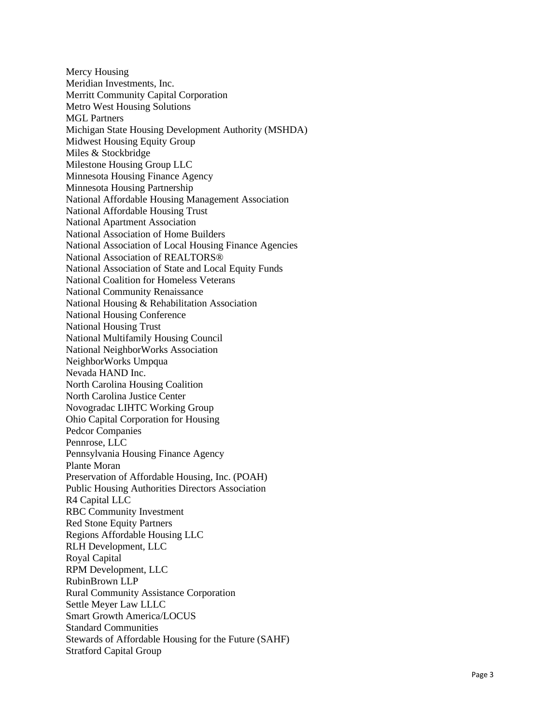Mercy Housing Meridian Investments, Inc. Merritt Community Capital Corporation Metro West Housing Solutions MGL Partners Michigan State Housing Development Authority (MSHDA) Midwest Housing Equity Group Miles & Stockbridge Milestone Housing Group LLC Minnesota Housing Finance Agency Minnesota Housing Partnership National Affordable Housing Management Association National Affordable Housing Trust National Apartment Association National Association of Home Builders National Association of Local Housing Finance Agencies National Association of REALTORS® National Association of State and Local Equity Funds National Coalition for Homeless Veterans National Community Renaissance National Housing & Rehabilitation Association National Housing Conference National Housing Trust National Multifamily Housing Council National NeighborWorks Association NeighborWorks Umpqua Nevada HAND Inc. North Carolina Housing Coalition North Carolina Justice Center Novogradac LIHTC Working Group Ohio Capital Corporation for Housing Pedcor Companies Pennrose, LLC Pennsylvania Housing Finance Agency Plante Moran Preservation of Affordable Housing, Inc. (POAH) Public Housing Authorities Directors Association R4 Capital LLC RBC Community Investment Red Stone Equity Partners Regions Affor dable Housing LLC RLH Development, LLC Royal Capital RPM Development, LLC RubinBrown LLP Rural Community Assistance Corporation Settle Meyer Law LLLC Smart Growth America/LOCUS Standard Communities Stewards of Affordable Housing for the Future (SAHF) Stratford Capital Group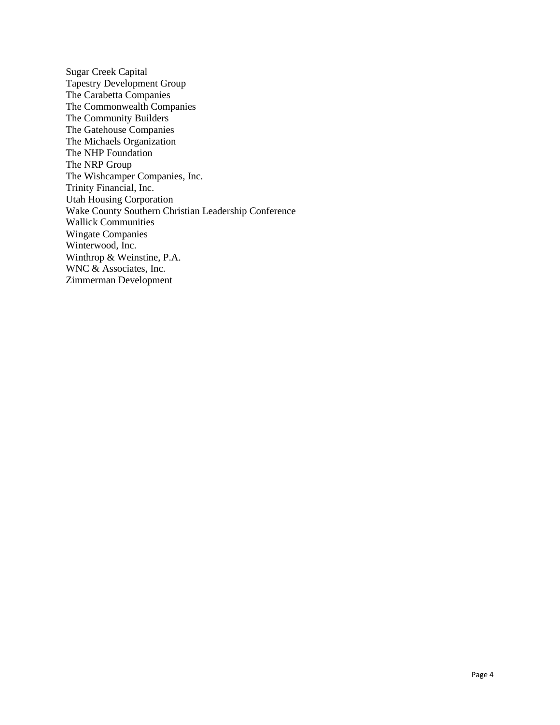Sugar Creek Capital Tapestry Development Group The Carabetta Companies The Commonwealth Companies The Community Builders The Gatehouse Companies The Michaels Organization The NHP Foundation The NRP Group The Wishcamper Companies, Inc. Trinity Financial, Inc. Utah Housing Corporation Wake County Southern Christian Leadership Conference Wallick Communities Wingate Companies Winterwood, Inc. Winthrop & Weinstine, P.A. WNC & Associates, Inc. Zimmerman Development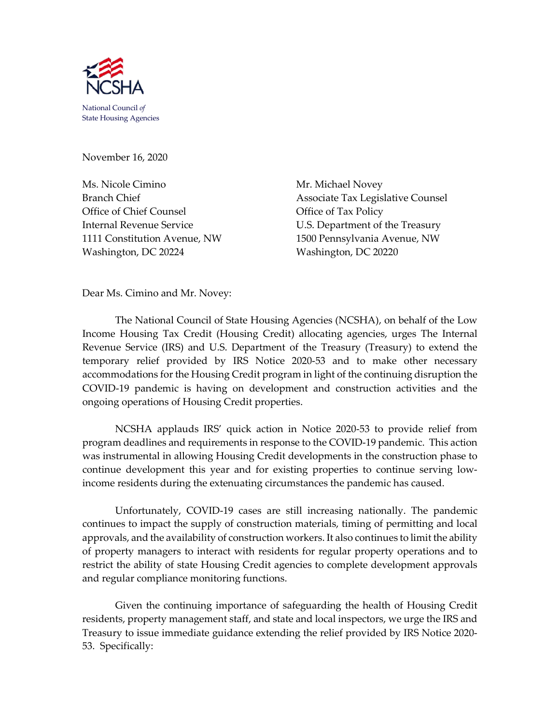

November 16, 2020

Ms. Nicole Cimino Mr. Michael Novey Office of Chief Counsel **Office of Tax Policy** Washington, DC 20224 Washington, DC 20220

Branch Chief Associate Tax Legislative Counsel Internal Revenue Service U.S. Department of the Treasury 1111 Constitution Avenue, NW 1500 Pennsylvania Avenue, NW

Dear Ms. Cimino and Mr. Novey:

The National Council of State Housing Agencies (NCSHA), on behalf of the Low Income Housing Tax Credit (Housing Credit) allocating agencies, urges The Internal Revenue Service (IRS) and U.S. Department of the Treasury (Treasury) to extend the temporary relief provided by IRS Notice 2020-53 and to make other necessary accommodations for the Housing Credit program in light of the continuing disruption the COVID-19 pandemic is having on development and construction activities and the ongoing operations of Housing Credit properties.

NCSHA applauds IRS' quick action in Notice 2020-53 to provide relief from program deadlines and requirements in response to the COVID-19 pandemic. This action was instrumental in allowing Housing Credit developments in the construction phase to continue development this year and for existing properties to continue serving lowincome residents during the extenuating circumstances the pandemic has caused.

Unfortunately, COVID-19 cases are still increasing nationally. The pandemic continues to impact the supply of construction materials, timing of permitting and local approvals, and the availability of construction workers. It also continues to limit the ability of property managers to interact with residents for regular property operations and to restrict the ability of state Housing Credit agencies to complete development approvals and regular compliance monitoring functions.

Given the continuing importance of safeguarding the health of Housing Credit residents, property management staff, and state and local inspectors, we urge the IRS and Treasury to issue immediate guidance extending the relief provided by IRS Notice 2020- 53. Specifically: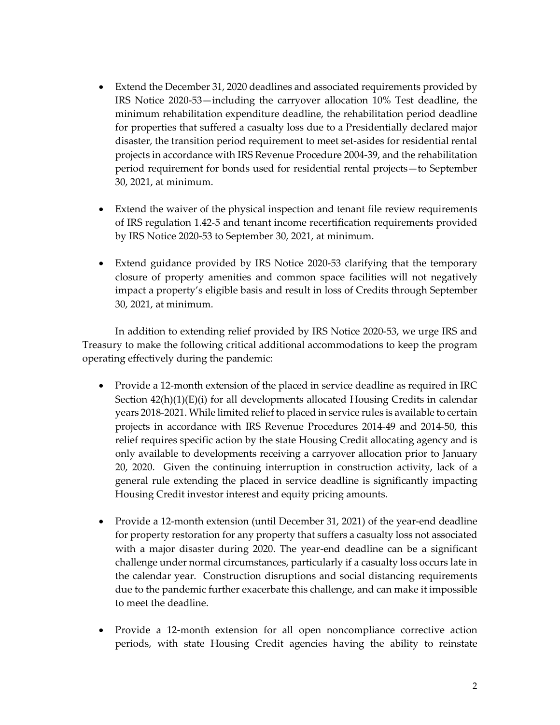- Extend the December 31, 2020 deadlines and associated requirements provided by IRS Notice 2020-53—including the carryover allocation 10% Test deadline, the minimum rehabilitation expenditure deadline, the rehabilitation period deadline for properties that suffered a casualty loss due to a Presidentially declared major disaster, the transition period requirement to meet set-asides for residential rental projects in accordance with IRS Revenue Procedure 2004-39, and the rehabilitation period requirement for bonds used for residential rental projects—to September 30, 2021, at minimum.
- Extend the waiver of the physical inspection and tenant file review requirements of IRS regulation 1.42-5 and tenant income recertification requirements provided by IRS Notice 2020-53 to September 30, 2021, at minimum.
- Extend guidance provided by IRS Notice 2020-53 clarifying that the temporary closure of property amenities and common space facilities will not negatively impact a property's eligible basis and result in loss of Credits through September 30, 2021, at minimum.

In addition to extending relief provided by IRS Notice 2020-53, we urge IRS and Treasury to make the following critical additional accommodations to keep the program operating effectively during the pandemic:

- Provide a 12-month extension of the placed in service deadline as required in IRC Section  $42(h)(1)(E)(i)$  for all developments allocated Housing Credits in calendar years 2018-2021. While limited relief to placed in service rules is available to certain projects in accordance with IRS Revenue Procedures 2014-49 and 2014-50, this relief requires specific action by the state Housing Credit allocating agency and is only available to developments receiving a carryover allocation prior to January 20, 2020. Given the continuing interruption in construction activity, lack of a general rule extending the placed in service deadline is significantly impacting Housing Credit investor interest and equity pricing amounts.
- Provide a 12-month extension (until December 31, 2021) of the year-end deadline for property restoration for any property that suffers a casualty loss not associated with a major disaster during 2020. The year-end deadline can be a significant challenge under normal circumstances, particularly if a casualty loss occurs late in the calendar year. Construction disruptions and social distancing requirements due to the pandemic further exacerbate this challenge, and can make it impossible to meet the deadline.
- Provide a 12-month extension for all open noncompliance corrective action periods, with state Housing Credit agencies having the ability to reinstate